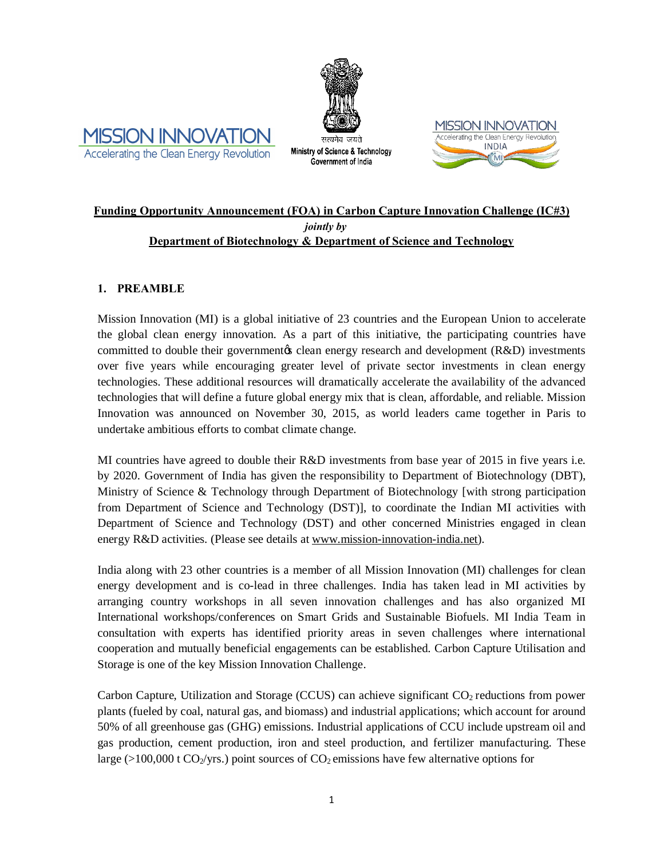



Ministry of Science & Technology Government of India



## **Funding Opportunity Announcement (FOA) in Carbon Capture Innovation Challenge (IC#3)** *jointly by* **Department of Biotechnology & Department of Science and Technology**

## **1. PREAMBLE**

Mission Innovation (MI) is a global initiative of 23 countries and the European Union to accelerate the global clean energy innovation. As a part of this initiative, the participating countries have committed to double their government  $\&$  clean energy research and development ( $R&D$ ) investments over five years while encouraging greater level of private sector investments in clean energy technologies. These additional resources will dramatically accelerate the availability of the advanced technologies that will define a future global energy mix that is clean, affordable, and reliable. Mission Innovation was announced on November 30, 2015, as world leaders came together in Paris to undertake ambitious efforts to combat climate change.

MI countries have agreed to double their R&D investments from base year of 2015 in five years i.e. by 2020. Government of India has given the responsibility to Department of Biotechnology (DBT), Ministry of Science & Technology through Department of Biotechnology [with strong participation from Department of Science and Technology (DST)], to coordinate the Indian MI activities with Department of Science and Technology (DST) and other concerned Ministries engaged in clean energy R&D activities. (Please see details at www.mission-innovation-india.net).

India along with 23 other countries is a member of all Mission Innovation (MI) challenges for clean energy development and is co-lead in three challenges. India has taken lead in MI activities by arranging country workshops in all seven innovation challenges and has also organized MI International workshops/conferences on Smart Grids and Sustainable Biofuels. MI India Team in consultation with experts has identified priority areas in seven challenges where international cooperation and mutually beneficial engagements can be established. Carbon Capture Utilisation and Storage is one of the key Mission Innovation Challenge.

Carbon Capture, Utilization and Storage (CCUS) can achieve significant  $CO<sub>2</sub>$  reductions from power plants (fueled by coal, natural gas, and biomass) and industrial applications; which account for around 50% of all greenhouse gas (GHG) emissions. Industrial applications of CCU include upstream oil and gas production, cement production, iron and steel production, and fertilizer manufacturing. These large ( $>100,000$  t CO<sub>2</sub>/yrs.) point sources of CO<sub>2</sub> emissions have few alternative options for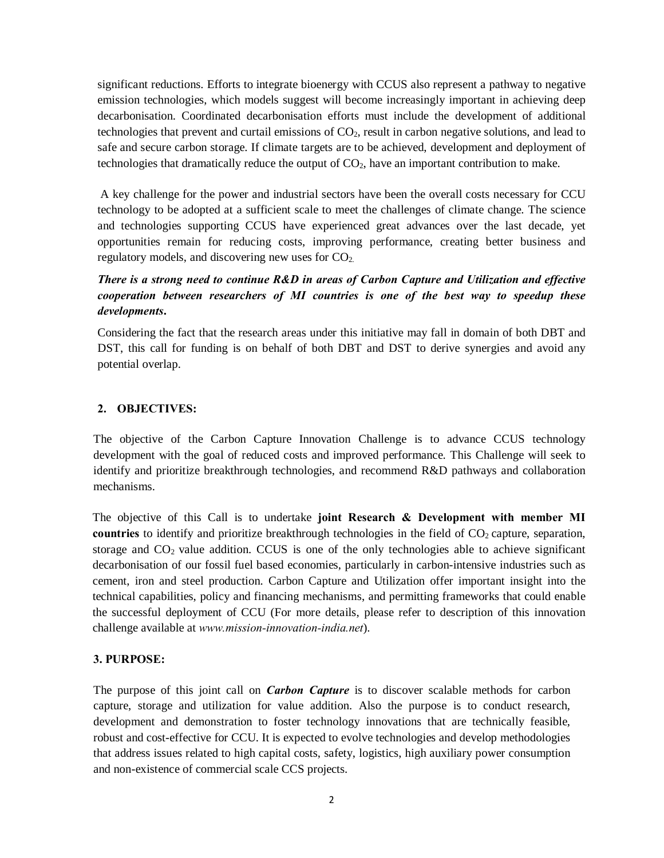significant reductions. Efforts to integrate bioenergy with CCUS also represent a pathway to negative emission technologies, which models suggest will become increasingly important in achieving deep decarbonisation. Coordinated decarbonisation efforts must include the development of additional technologies that prevent and curtail emissions of CO2, result in carbon negative solutions, and lead to safe and secure carbon storage. If climate targets are to be achieved, development and deployment of technologies that dramatically reduce the output of  $CO<sub>2</sub>$ , have an important contribution to make.

A key challenge for the power and industrial sectors have been the overall costs necessary for CCU technology to be adopted at a sufficient scale to meet the challenges of climate change. The science and technologies supporting CCUS have experienced great advances over the last decade, yet opportunities remain for reducing costs, improving performance, creating better business and regulatory models, and discovering new uses for  $CO<sub>2</sub>$ .

# *There is a strong need to continue R&D in areas of Carbon Capture and Utilization and effective cooperation between researchers of MI countries is one of the best way to speedup these developments***.**

Considering the fact that the research areas under this initiative may fall in domain of both DBT and DST, this call for funding is on behalf of both DBT and DST to derive synergies and avoid any potential overlap.

## **2. OBJECTIVES:**

The objective of the Carbon Capture Innovation Challenge is to advance CCUS technology development with the goal of reduced costs and improved performance. This Challenge will seek to identify and prioritize breakthrough technologies, and recommend R&D pathways and collaboration mechanisms.

The objective of this Call is to undertake **joint Research & Development with member MI countries** to identify and prioritize breakthrough technologies in the field of CO<sub>2</sub> capture, separation, storage and  $CO<sub>2</sub>$  value addition. CCUS is one of the only technologies able to achieve significant decarbonisation of our fossil fuel based economies, particularly in carbon-intensive industries such as cement, iron and steel production. Carbon Capture and Utilization offer important insight into the technical capabilities, policy and financing mechanisms, and permitting frameworks that could enable the successful deployment of CCU (For more details, please refer to description of this innovation challenge available at *www.mission-innovation-india.net*).

## **3. PURPOSE:**

The purpose of this joint call on *Carbon Capture* is to discover scalable methods for carbon capture, storage and utilization for value addition. Also the purpose is to conduct research, development and demonstration to foster technology innovations that are technically feasible, robust and cost-effective for CCU. It is expected to evolve technologies and develop methodologies that address issues related to high capital costs, safety, logistics, high auxiliary power consumption and non-existence of commercial scale CCS projects.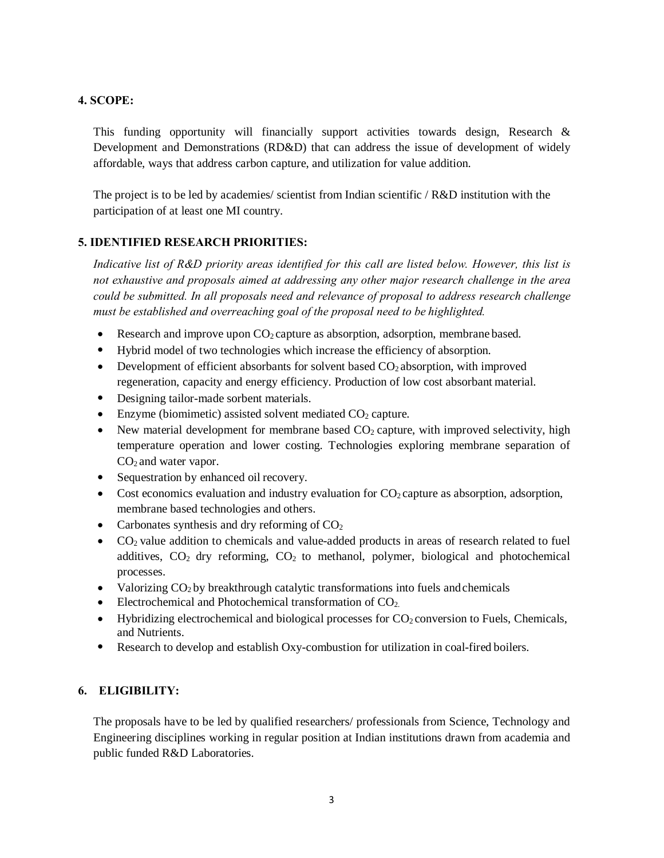## **4. SCOPE:**

This funding opportunity will financially support activities towards design, Research & Development and Demonstrations (RD&D) that can address the issue of development of widely affordable, ways that address carbon capture, and utilization for value addition.

The project is to be led by academies/ scientist from Indian scientific / R&D institution with the participation of at least one MI country.

## **5. IDENTIFIED RESEARCH PRIORITIES:**

*Indicative list of R&D priority areas identified for this call are listed below. However, this list is not exhaustive and proposals aimed at addressing any other major research challenge in the area could be submitted. In all proposals need and relevance of proposal to address research challenge must be established and overreaching goal of the proposal need to be highlighted.*

- Research and improve upon  $CO<sub>2</sub>$  capture as absorption, adsorption, membrane based.
- · Hybrid model of two technologies which increase the efficiency of absorption.
- Development of efficient absorbants for solvent based  $CO<sub>2</sub>$  absorption, with improved regeneration, capacity and energy efficiency. Production of low cost absorbant material.
- Designing tailor-made sorbent materials.
- Enzyme (biomimetic) assisted solvent mediated  $CO<sub>2</sub>$  capture.
- New material development for membrane based  $CO<sub>2</sub>$  capture, with improved selectivity, high temperature operation and lower costing. Technologies exploring membrane separation of CO<sub>2</sub> and water vapor.
- Sequestration by enhanced oil recovery.
- Cost economics evaluation and industry evaluation for  $CO<sub>2</sub>$  capture as absorption, adsorption, membrane based technologies and others.
- Carbonates synthesis and dry reforming of  $CO<sub>2</sub>$
- $\bullet$   $CO<sub>2</sub>$  value addition to chemicals and value-added products in areas of research related to fuel additives,  $CO<sub>2</sub>$  dry reforming,  $CO<sub>2</sub>$  to methanol, polymer, biological and photochemical processes.
- Valorizing  $CO<sub>2</sub>$  by breakthrough catalytic transformations into fuels and chemicals
- Electrochemical and Photochemical transformation of  $CO<sub>2</sub>$ .
- Hybridizing electrochemical and biological processes for  $CO<sub>2</sub>$  conversion to Fuels, Chemicals, and Nutrients.
- · Research to develop and establish Oxy-combustion for utilization in coal-fired boilers.

# **6. ELIGIBILITY:**

The proposals have to be led by qualified researchers/ professionals from Science, Technology and Engineering disciplines working in regular position at Indian institutions drawn from academia and public funded R&D Laboratories.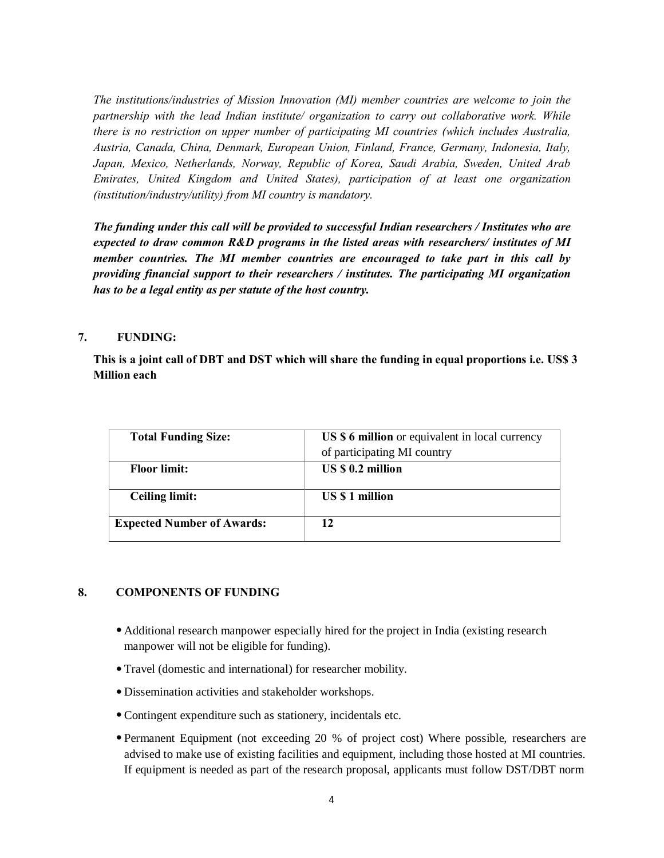*The institutions/industries of Mission Innovation (MI) member countries are welcome to join the partnership with the lead Indian institute/ organization to carry out collaborative work. While there is no restriction on upper number of participating MI countries (which includes Australia, Austria, Canada, China, Denmark, European Union, Finland, France, Germany, Indonesia, Italy, Japan, Mexico, Netherlands, Norway, Republic of Korea, Saudi Arabia, Sweden, United Arab Emirates, United Kingdom and United States), participation of at least one organization (institution/industry/utility) from MI country is mandatory.*

*The funding under this call will be provided to successful Indian researchers / Institutes who are expected to draw common R&D programs in the listed areas with researchers/ institutes of MI member countries. The MI member countries are encouraged to take part in this call by providing financial support to their researchers / institutes. The participating MI organization has to be a legal entity as per statute of the host country.*

### **7. FUNDING:**

**This is a joint call of DBT and DST which will share the funding in equal proportions i.e. US\$ 3 Million each**

| <b>Total Funding Size:</b>        | US \$ 6 million or equivalent in local currency<br>of participating MI country |
|-----------------------------------|--------------------------------------------------------------------------------|
| <b>Floor limit:</b>               | US \$ 0.2 million                                                              |
| <b>Ceiling limit:</b>             | US \$1 million                                                                 |
| <b>Expected Number of Awards:</b> | 12                                                                             |

### **8. COMPONENTS OF FUNDING**

- · Additional research manpower especially hired for the project in India (existing research manpower will not be eligible for funding).
- · Travel (domestic and international) for researcher mobility.
- · Dissemination activities and stakeholder workshops.
- · Contingent expenditure such as stationery, incidentals etc.
- · Permanent Equipment (not exceeding 20 % of project cost) Where possible, researchers are advised to make use of existing facilities and equipment, including those hosted at MI countries. If equipment is needed as part of the research proposal, applicants must follow DST/DBT norm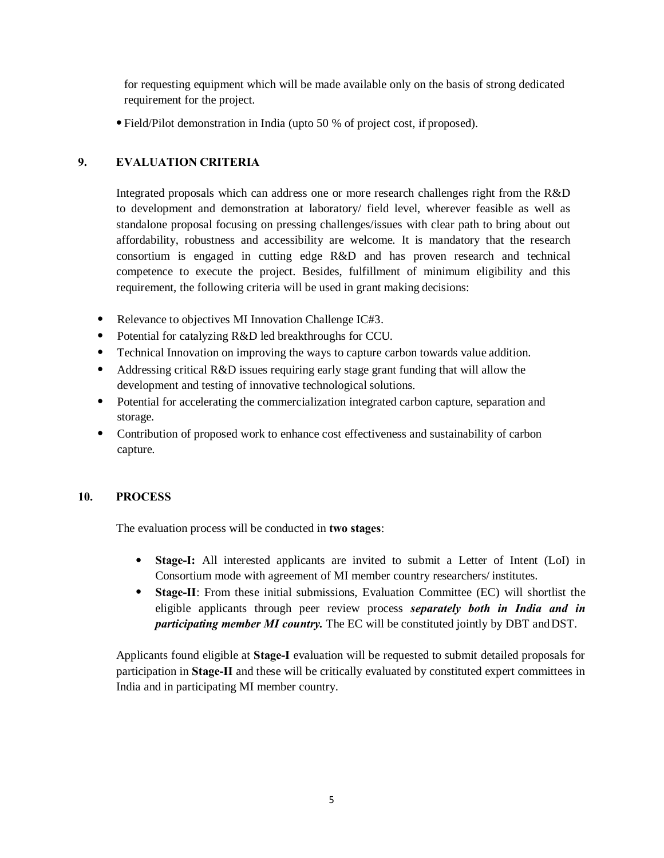for requesting equipment which will be made available only on the basis of strong dedicated requirement for the project.

· Field/Pilot demonstration in India (upto 50 % of project cost, if proposed).

# **9. EVALUATION CRITERIA**

Integrated proposals which can address one or more research challenges right from the R&D to development and demonstration at laboratory/ field level, wherever feasible as well as standalone proposal focusing on pressing challenges/issues with clear path to bring about out affordability, robustness and accessibility are welcome. It is mandatory that the research consortium is engaged in cutting edge R&D and has proven research and technical competence to execute the project. Besides, fulfillment of minimum eligibility and this requirement, the following criteria will be used in grant making decisions:

- Relevance to objectives MI Innovation Challenge IC#3.
- Potential for catalyzing R&D led breakthroughs for CCU.
- Technical Innovation on improving the ways to capture carbon towards value addition.
- Addressing critical R&D issues requiring early stage grant funding that will allow the development and testing of innovative technological solutions.
- · Potential for accelerating the commercialization integrated carbon capture, separation and storage.
- Contribution of proposed work to enhance cost effectiveness and sustainability of carbon capture.

## **10. PROCESS**

The evaluation process will be conducted in **two stages**:

- · **Stage-I:** All interested applicants are invited to submit a Letter of Intent (LoI) in Consortium mode with agreement of MI member country researchers/ institutes.
- · **Stage-II**: From these initial submissions, Evaluation Committee (EC) will shortlist the eligible applicants through peer review process *separately both in India and in participating member MI country.* The EC will be constituted jointly by DBT andDST.

Applicants found eligible at **Stage-I** evaluation will be requested to submit detailed proposals for participation in **Stage-II** and these will be critically evaluated by constituted expert committees in India and in participating MI member country.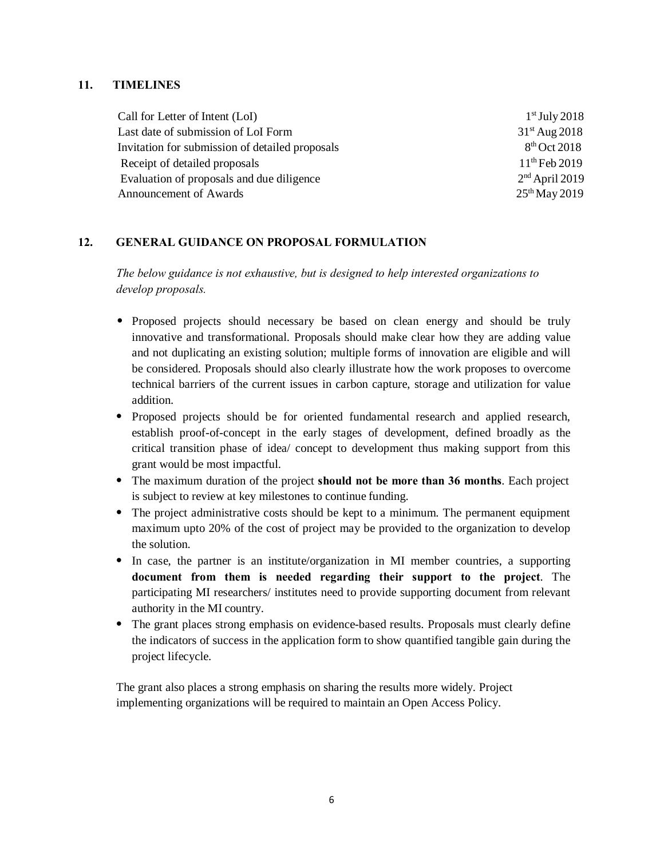### **11. TIMELINES**

Call for Letter of Intent  $(LoI)$  1st July 2018 Last date of submission of LoI Form 31<sup>st</sup> Aug 2018 Invitation for submission of detailed proposals 8<sup>th</sup> Oct 2018 Receipt of detailed proposals 11<sup>th</sup> Feb 2019 Evaluation of proposals and due diligence 2<sup>nd</sup> April 2019 Announcement of Awards 25<sup>th</sup> May 2019

### **12. GENERAL GUIDANCE ON PROPOSAL FORMULATION**

*The below guidance is not exhaustive, but is designed to help interested organizations to develop proposals.*

- · Proposed projects should necessary be based on clean energy and should be truly innovative and transformational. Proposals should make clear how they are adding value and not duplicating an existing solution; multiple forms of innovation are eligible and will be considered. Proposals should also clearly illustrate how the work proposes to overcome technical barriers of the current issues in carbon capture, storage and utilization for value addition.
- · Proposed projects should be for oriented fundamental research and applied research, establish proof-of-concept in the early stages of development, defined broadly as the critical transition phase of idea/ concept to development thus making support from this grant would be most impactful.
- · The maximum duration of the project **should not be more than 36 months**. Each project is subject to review at key milestones to continue funding.
- · The project administrative costs should be kept to a minimum. The permanent equipment maximum upto 20% of the cost of project may be provided to the organization to develop the solution.
- · In case, the partner is an institute/organization in MI member countries, a supporting **document from them is needed regarding their support to the project**. The participating MI researchers/ institutes need to provide supporting document from relevant authority in the MI country.
- The grant places strong emphasis on evidence-based results. Proposals must clearly define the indicators of success in the application form to show quantified tangible gain during the project lifecycle.

The grant also places a strong emphasis on sharing the results more widely. Project implementing organizations will be required to maintain an Open Access Policy.